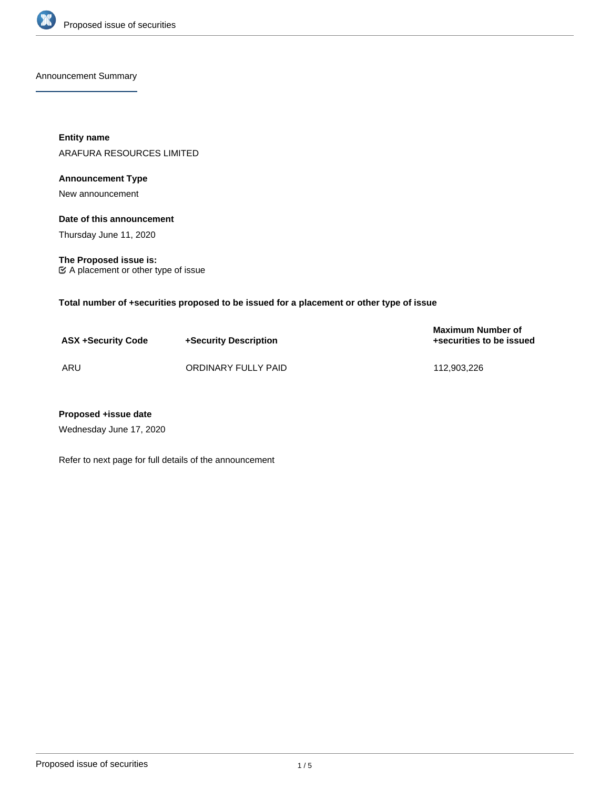

Announcement Summary

**Entity name** ARAFURA RESOURCES LIMITED

# **Announcement Type**

New announcement

**Date of this announcement**

Thursday June 11, 2020

**The Proposed issue is:** A placement or other type of issue

**Total number of +securities proposed to be issued for a placement or other type of issue**

| <b>ASX +Security Code</b> | +Security Description | <b>Maximum Number of</b><br>+securities to be issued |
|---------------------------|-----------------------|------------------------------------------------------|
| ARU                       | ORDINARY FULLY PAID   | 112.903.226                                          |

## **Proposed +issue date**

Wednesday June 17, 2020

Refer to next page for full details of the announcement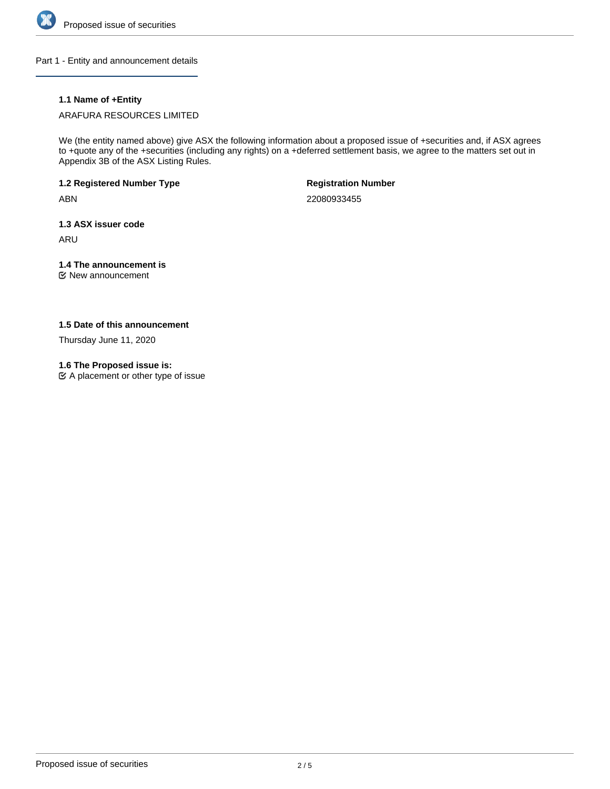

Part 1 - Entity and announcement details

## **1.1 Name of +Entity**

### ARAFURA RESOURCES LIMITED

We (the entity named above) give ASX the following information about a proposed issue of +securities and, if ASX agrees to +quote any of the +securities (including any rights) on a +deferred settlement basis, we agree to the matters set out in Appendix 3B of the ASX Listing Rules.

**1.2 Registered Number Type**

ABN

**Registration Number**

22080933455

**1.3 ASX issuer code**

ARU

# **1.4 The announcement is**

New announcement

## **1.5 Date of this announcement**

Thursday June 11, 2020

### **1.6 The Proposed issue is:**

 $\mathfrak{C}$  A placement or other type of issue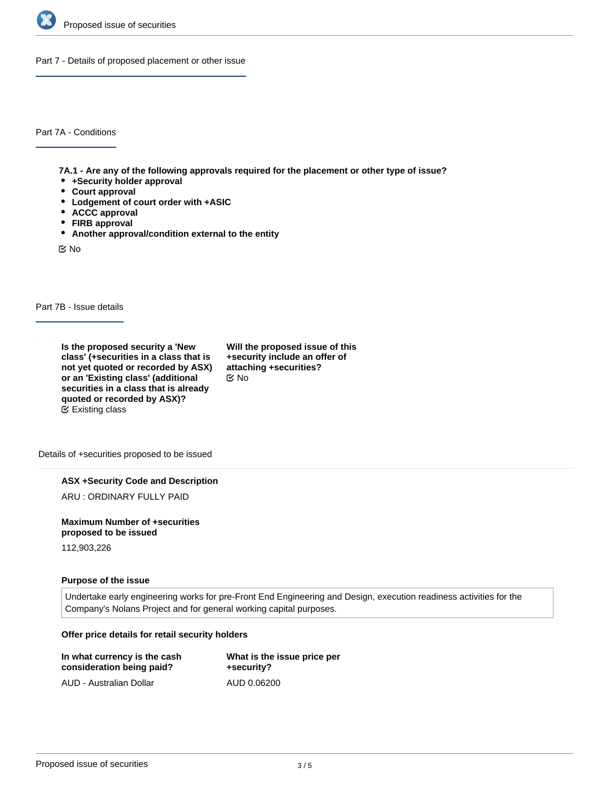

Part 7 - Details of proposed placement or other issue

Part 7A - Conditions

**7A.1 - Are any of the following approvals required for the placement or other type of issue?**

- **+Security holder approval**
- **Court approval**
- **Lodgement of court order with +ASIC**
- **ACCC approval**
- **FIRB approval**
- **Another approval/condition external to the entity**

No

Part 7B - Issue details

**Is the proposed security a 'New class' (+securities in a class that is not yet quoted or recorded by ASX) or an 'Existing class' (additional securities in a class that is already quoted or recorded by ASX)?** Existing class

**Will the proposed issue of this +security include an offer of attaching +securities?** No

Details of +securities proposed to be issued

**ASX +Security Code and Description**

ARU : ORDINARY FULLY PAID

**Maximum Number of +securities proposed to be issued**

112,903,226

#### **Purpose of the issue**

Undertake early engineering works for pre-Front End Engineering and Design, execution readiness activities for the Company's Nolans Project and for general working capital purposes.

#### **Offer price details for retail security holders**

| In what currency is the cash | What is the issue price per |
|------------------------------|-----------------------------|
| consideration being paid?    | +security?                  |
| AUD - Australian Dollar      | AUD 0.06200                 |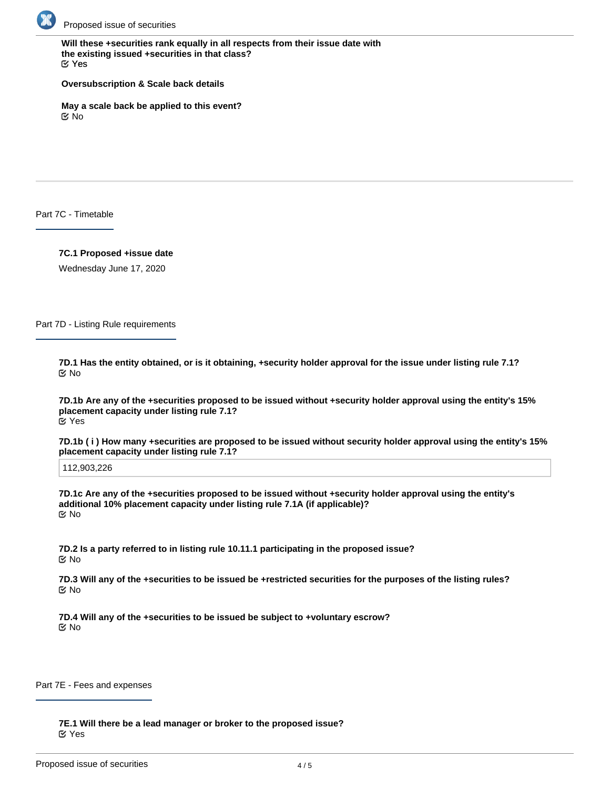

**Will these +securities rank equally in all respects from their issue date with the existing issued +securities in that class?** Yes

**Oversubscription & Scale back details**

**May a scale back be applied to this event?** No

Part 7C - Timetable

**7C.1 Proposed +issue date**

Wednesday June 17, 2020

Part 7D - Listing Rule requirements

**7D.1 Has the entity obtained, or is it obtaining, +security holder approval for the issue under listing rule 7.1?** No

**7D.1b Are any of the +securities proposed to be issued without +security holder approval using the entity's 15% placement capacity under listing rule 7.1?** Yes

**7D.1b ( i ) How many +securities are proposed to be issued without security holder approval using the entity's 15% placement capacity under listing rule 7.1?**

112,903,226

**7D.1c Are any of the +securities proposed to be issued without +security holder approval using the entity's additional 10% placement capacity under listing rule 7.1A (if applicable)?** No

**7D.2 Is a party referred to in listing rule 10.11.1 participating in the proposed issue?** No

**7D.3 Will any of the +securities to be issued be +restricted securities for the purposes of the listing rules?** No

**7D.4 Will any of the +securities to be issued be subject to +voluntary escrow?** No

Part 7E - Fees and expenses

**7E.1 Will there be a lead manager or broker to the proposed issue?** Yes